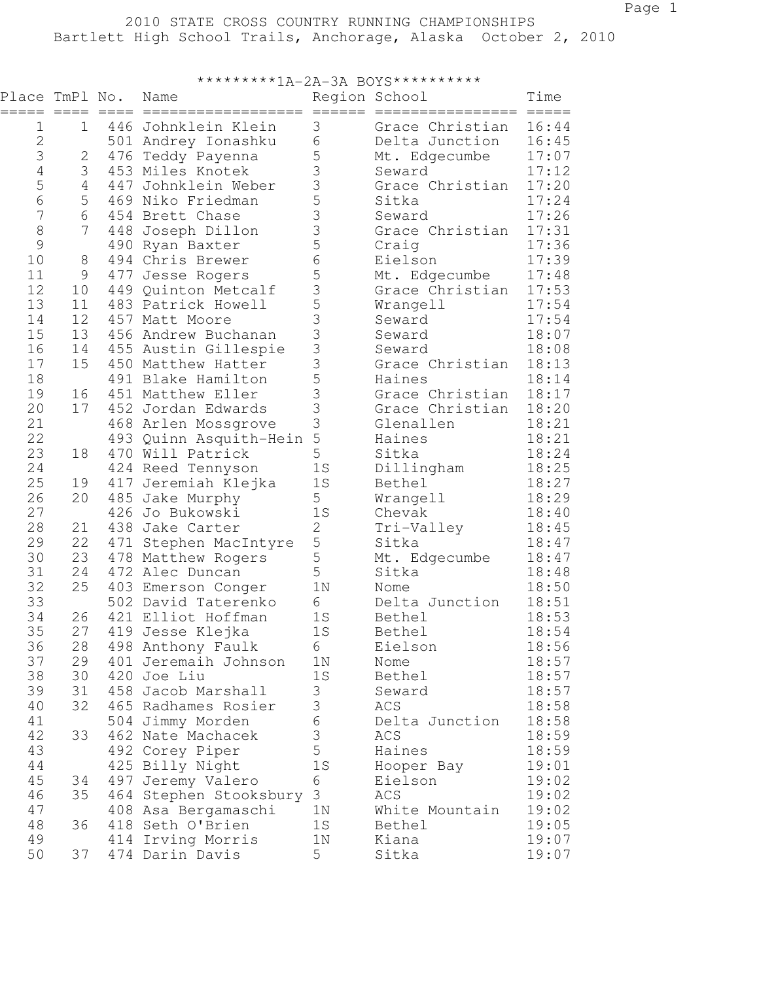| *********1A-2A-3A BOYS********** |             |         |                        |                                |                  |                 |  |
|----------------------------------|-------------|---------|------------------------|--------------------------------|------------------|-----------------|--|
| Place TmPl No.<br>=====          |             | $=====$ | Name<br>==========     | Region School<br>$== == == ==$ | ================ | Time<br>$=====$ |  |
| 1                                | $\mathbf 1$ | 446     | Johnklein Klein        | 3                              | Grace Christian  | 16:44           |  |
| $\overline{2}$                   |             |         | 501 Andrey Ionashku    | 6                              | Delta Junction   | 16:45           |  |
| 3                                | 2           | 476     | Teddy Payenna          | 5                              | Mt. Edgecumbe    | 17:07           |  |
| $\sqrt{4}$                       | 3           | 453     | Miles Knotek           | 3                              | Seward           | 17:12           |  |
| 5                                | 4           | 447     | Johnklein Weber        | 3                              | Grace Christian  | 17:20           |  |
| $6\phantom{a}$                   | 5           | 469     | Niko Friedman          | 5                              | Sitka            | 17:24           |  |
| 7                                | 6           |         | 454 Brett Chase        |                                | Seward           | 17:26           |  |
| 8                                | 7           | 448     | Joseph Dillon          | 3 <sup>3</sup>                 | Grace Christian  | 17:31           |  |
| 9                                |             | 490     | Ryan Baxter            | 5                              | Craig            | 17:36           |  |
| 10                               | 8           |         | 494 Chris Brewer       | 6                              | Eielson          | 17:39           |  |
| 11                               | 9           | 477     | Jesse Rogers           | 5                              | Mt. Edgecumbe    | 17:48           |  |
| 12                               | 10          | 449     | Quinton Metcalf        | 3                              | Grace Christian  | 17:53           |  |
| 13                               | 11          | 483     | Patrick Howell         | 5                              | Wrangell         | 17:54           |  |
| 14                               | 12          | 457     | Matt Moore             | 3                              | Seward           | 17:54           |  |
| 15                               | 13          | 456     | Andrew Buchanan        | 3                              | Seward           | 18:07           |  |
| 16                               | 14          | 455     | Austin Gillespie       | 3                              | Seward           | 18:08           |  |
| 17                               | 15          | 450     | Matthew Hatter         | 3                              | Grace Christian  | 18:13           |  |
| 18                               |             |         | 491 Blake Hamilton     | 5                              | Haines           | 18:14           |  |
| 19                               | 16          |         | 451 Matthew Eller      | 3                              | Grace Christian  | 18:17           |  |
| 20                               | 17          | 452     | Jordan Edwards         | 3                              | Grace Christian  | 18:20           |  |
| 21                               |             |         | 468 Arlen Mossgrove    | 3                              | Glenallen        | 18:21           |  |
| 22                               |             | 493     | Quinn Asquith-Hein     | 5                              | Haines           | 18:21           |  |
| 23                               | 18          | 470     | Will Patrick           | 5                              | Sitka            | 18:24           |  |
| 24                               |             |         | 424 Reed Tennyson      | 1S                             | Dillingham       | 18:25           |  |
| 25                               | 19          | 417     | Jeremiah Klejka        | 1S                             | Bethel           | 18:27           |  |
| 26                               | 20          | 485     | Jake Murphy            | 5                              | Wrangell         | 18:29           |  |
| 27                               |             | 426     | Jo Bukowski            | 1S                             | Chevak           | 18:40           |  |
| 28                               | 21          | 438     | Jake Carter            | 2                              | Tri-Valley       | 18:45           |  |
| 29                               | 22          | 471     | Stephen MacIntyre      | 5                              | Sitka            | 18:47           |  |
| 30                               | 23          | 478     | Matthew Rogers         | 5                              | Mt. Edgecumbe    | 18:47           |  |
| 31                               | 24          |         | 472 Alec Duncan        | 5                              | Sitka            | 18:48           |  |
| 32                               | 25          | 403     | Emerson Conger         | 1N                             | Nome             | 18:50           |  |
| 33                               |             |         | 502 David Taterenko    | 6                              | Delta Junction   | 18:51           |  |
| 34                               | 26          |         | 421 Elliot Hoffman     | 1S                             | Bethel           | 18:53           |  |
| 35                               | 27          |         | 419 Jesse Klejka       | 1S                             | Bethel           | 18:54           |  |
| 36                               | 28          |         | 498 Anthony Faulk      | 6                              | Eielson          | 18:56           |  |
| 37                               | 29          |         | 401 Jeremaih Johnson   | 1 <sub>N</sub>                 | Nome             | 18:57           |  |
| 38                               | 30          |         | 420 Joe Liu            | 1S                             | Bethel           | 18:57           |  |
| 39                               | 31          | 458     | Jacob Marshall         | 3                              | Seward           | 18:57           |  |
| 40                               | 32          |         | 465 Radhames Rosier    | 3                              | ACS              | 18:58           |  |
| 41                               |             |         | 504 Jimmy Morden       | 6                              | Delta Junction   | 18:58           |  |
| 42                               | 33          |         | 462 Nate Machacek      | 3                              | ACS              | 18:59           |  |
| 43                               |             |         | 492 Corey Piper        | 5                              | Haines           | 18:59           |  |
| 44                               |             |         | 425 Billy Night        | 1S                             | Hooper Bay       | 19:01           |  |
| 45                               | 34          | 497     | Jeremy Valero          | 6                              | Eielson          | 19:02           |  |
| 46                               | 35          |         | 464 Stephen Stooksbury | 3                              | ACS              | 19:02           |  |
| 47                               |             |         | 408 Asa Bergamaschi    | 1 <sub>N</sub>                 | White Mountain   | 19:02           |  |
| 48                               | 36          |         | 418 Seth O'Brien       | 1S                             | Bethel           | 19:05           |  |
| 49                               |             |         | 414 Irving Morris      | 1 <sub>N</sub>                 | Kiana            | 19:07           |  |
| 50                               | 37          |         | 474 Darin Davis        | 5                              | Sitka            | 19:07           |  |
|                                  |             |         |                        |                                |                  |                 |  |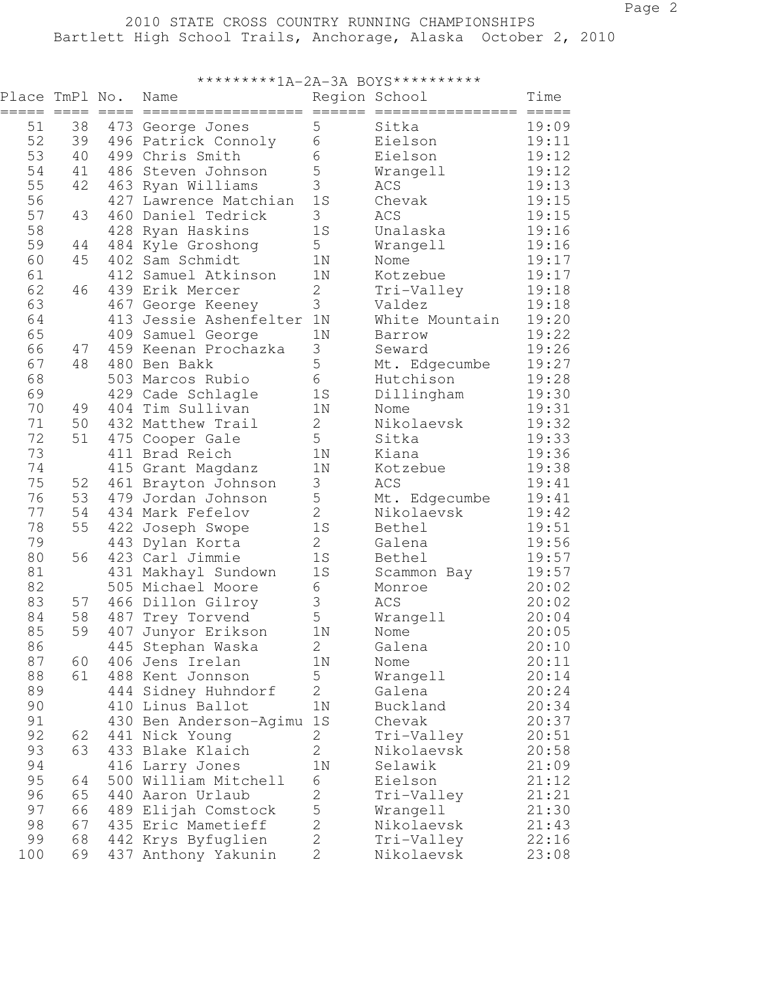| *********1A-2A-3A BOYS********** |    |          |                                |                      |                       |                       |  |
|----------------------------------|----|----------|--------------------------------|----------------------|-----------------------|-----------------------|--|
| Place TmPl No.<br>===== ====     |    | $= == =$ | Name                           | Region School        | ================      | Time<br>$= = = = = =$ |  |
| 51                               | 38 | 473      | George Jones                   | 5                    | Sitka                 | 19:09                 |  |
| 52                               | 39 |          | 496 Patrick Connoly            | 6                    | Eielson               | 19:11                 |  |
| 53                               | 40 | 499      | Chris Smith                    | 6                    | Eielson               | 19:12                 |  |
| 54                               | 41 |          | 486 Steven Johnson             | 5                    | Wrangell              | 19:12                 |  |
| 55                               | 42 | 463      | Ryan Williams                  | 3                    | ACS                   | 19:13                 |  |
| 56                               |    |          | 427 Lawrence Matchian          | 1S                   | Chevak                | 19:15                 |  |
| 57                               | 43 | 460      | Daniel Tedrick                 | 3                    | ACS                   | 19:15                 |  |
| 58                               |    | 428      | Ryan Haskins                   | 1S                   | Unalaska              | 19:16                 |  |
| 59                               | 44 |          | 484 Kyle Groshong              | 5                    | Wrangell              | 19:16                 |  |
| 60                               | 45 |          | 402 Sam Schmidt                | 1 <sub>N</sub>       | Nome                  | 19:17                 |  |
| 61                               |    |          | 412 Samuel Atkinson            | 1 <sub>N</sub>       | Kotzebue              | 19:17                 |  |
| 62                               | 46 | 439      | Erik Mercer                    | 2                    | Tri-Valley            | 19:18                 |  |
| 63                               |    |          | 467 George Keeney              | 3                    | Valdez                | 19:18                 |  |
| 64                               |    | 413      | Jessie Ashenfelter             | 1 <sub>N</sub>       | White Mountain        | 19:20                 |  |
| 65                               |    | 409      | Samuel George                  | 1 <sub>N</sub>       | Barrow                | 19:22                 |  |
| 66                               | 47 | 459      | Keenan Prochazka               | 3                    | Seward                | 19:26                 |  |
| 67                               | 48 | 480      | Ben Bakk                       | 5                    | Mt. Edgecumbe         | 19:27                 |  |
| 68                               |    |          | 503 Marcos Rubio               | 6                    | Hutchison             | 19:28                 |  |
| 69                               |    | 429      | Cade Schlagle                  | 1S                   | Dillingham            | 19:30                 |  |
| 70                               | 49 |          | 404 Tim Sullivan               | 1 <sub>N</sub>       | Nome                  | 19:31                 |  |
| 71                               | 50 |          | 432 Matthew Trail              | 2                    | Nikolaevsk            | 19:32                 |  |
| 72                               | 51 | 475      | Cooper Gale                    | 5                    | Sitka                 | 19:33                 |  |
| 73                               |    |          | 411 Brad Reich                 | 1 <sub>N</sub>       | Kiana                 | 19:36                 |  |
| 74                               |    | 415      | Grant Magdanz                  | 1 <sub>N</sub>       | Kotzebue              | 19:38                 |  |
| 75                               | 52 |          | 461 Brayton Johnson            | 3                    | ACS                   | 19:41                 |  |
| 76                               | 53 | 479      | Jordan Johnson                 | 5                    | Mt. Edgecumbe         | 19:41                 |  |
| 77                               | 54 |          | 434 Mark Fefelov               | $\overline{2}$       | Nikolaevsk            | 19:42                 |  |
| 78<br>79                         | 55 | 422      | Joseph Swope                   | 1S<br>$\overline{2}$ | Bethel                | 19:51                 |  |
| 80                               | 56 | 443      | Dylan Korta<br>423 Carl Jimmie | 1S                   | Galena<br>Bethel      | 19:56                 |  |
| 81                               |    |          | 431 Makhayl Sundown            | 1S                   |                       | 19:57<br>19:57        |  |
| 82                               |    |          | 505 Michael Moore              | 6                    | Scammon Bay<br>Monroe | 20:02                 |  |
| 83                               | 57 | 466      | Dillon Gilroy                  | 3                    | ACS                   | 20:02                 |  |
| 84                               | 58 |          | 487 Trey Torvend               | 5                    | Wrangell              | 20:04                 |  |
| 85                               | 59 | 407      | Junyor Erikson                 | 1 <sub>N</sub>       | Nome                  | 20:05                 |  |
| 86                               |    |          | 445 Stephan Waska              | 2                    | Galena                | 20:10                 |  |
| 87                               | 60 | 406      | Jens Irelan                    | 1 <sub>N</sub>       | Nome                  | 20:11                 |  |
| 88                               | 61 |          | 488 Kent Jonnson               | 5                    | Wrangell              | 20:14                 |  |
| 89                               |    | 444      | Sidney Huhndorf                | $\overline{2}$       | Galena                | 20:24                 |  |
| 90                               |    | 410      | Linus Ballot                   | 1 <sub>N</sub>       | Buckland              | 20:34                 |  |
| 91                               |    | 430      | Ben Anderson-Agimu             | 1S                   | Chevak                | 20:37                 |  |
| 92                               | 62 | 441      | Nick Young                     | 2                    | Tri-Valley            | 20:51                 |  |
| 93                               | 63 | 433      | Blake Klaich                   | $\mathbf{2}$         | Nikolaevsk            | 20:58                 |  |
| 94                               |    | 416      | Larry Jones                    | 1 <sub>N</sub>       | Selawik               | 21:09                 |  |
| 95                               | 64 | 500      | William Mitchell               | 6                    | Eielson               | 21:12                 |  |
| 96                               | 65 | 440      | Aaron Urlaub                   | $\mathbf{2}$         | Tri-Valley            | 21:21                 |  |
| 97                               | 66 | 489      | Elijah Comstock                | 5                    | Wrangell              | 21:30                 |  |
| 98                               | 67 | 435      | Eric Mametieff                 | $\overline{2}$       | Nikolaevsk            | 21:43                 |  |
| 99                               | 68 |          | 442 Krys Byfuglien             | $\overline{2}$       | Tri-Valley            | 22:16                 |  |
| 100                              | 69 | 437      | Anthony Yakunin                | $\overline{2}$       | Nikolaevsk            | 23:08                 |  |